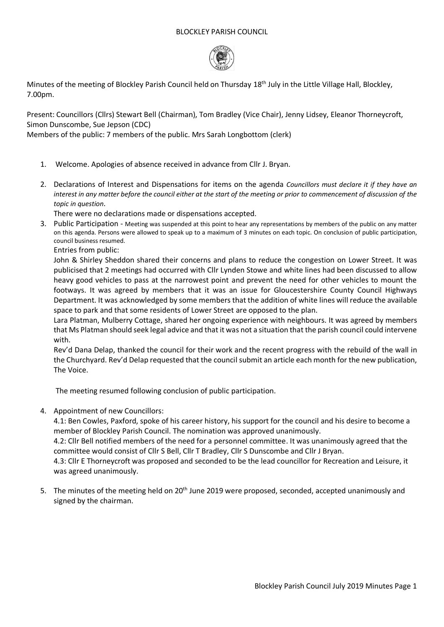## BLOCKLEY PARISH COUNCIL



Minutes of the meeting of Blockley Parish Council held on Thursday 18<sup>th</sup> July in the Little Village Hall, Blockley, 7.00pm.

Present: Councillors (Cllrs) Stewart Bell (Chairman), Tom Bradley (Vice Chair), Jenny Lidsey, Eleanor Thorneycroft, Simon Dunscombe, Sue Jepson (CDC)

Members of the public: 7 members of the public. Mrs Sarah Longbottom (clerk)

- 1. Welcome. Apologies of absence received in advance from Cllr J. Bryan.
- 2. Declarations of Interest and Dispensations for items on the agenda *Councillors must declare it if they have an interest in any matter before the council either at the start of the meeting or prior to commencement of discussion of the topic in question*.

There were no declarations made or dispensations accepted.

3. Public Participation - Meeting was suspended at this point to hear any representations by members of the public on any matter on this agenda. Persons were allowed to speak up to a maximum of 3 minutes on each topic. On conclusion of public participation, council business resumed.

Entries from public:

John & Shirley Sheddon shared their concerns and plans to reduce the congestion on Lower Street. It was publicised that 2 meetings had occurred with Cllr Lynden Stowe and white lines had been discussed to allow heavy good vehicles to pass at the narrowest point and prevent the need for other vehicles to mount the footways. It was agreed by members that it was an issue for Gloucestershire County Council Highways Department. It was acknowledged by some members that the addition of white lines will reduce the available space to park and that some residents of Lower Street are opposed to the plan.

Lara Platman, Mulberry Cottage, shared her ongoing experience with neighbours. It was agreed by members that Ms Platman should seek legal advice and that it was not a situation that the parish council could intervene with.

Rev'd Dana Delap, thanked the council for their work and the recent progress with the rebuild of the wall in the Churchyard. Rev'd Delap requested that the council submit an article each month for the new publication, The Voice.

The meeting resumed following conclusion of public participation.

4. Appointment of new Councillors:

4.1: Ben Cowles, Paxford, spoke of his career history, his support for the council and his desire to become a member of Blockley Parish Council. The nomination was approved unanimously.

4.2: Cllr Bell notified members of the need for a personnel committee. It was unanimously agreed that the committee would consist of Cllr S Bell, Cllr T Bradley, Cllr S Dunscombe and Cllr J Bryan.

4.3: Cllr E Thorneycroft was proposed and seconded to be the lead councillor for Recreation and Leisure, it was agreed unanimously.

5. The minutes of the meeting held on  $20^{th}$  June 2019 were proposed, seconded, accepted unanimously and signed by the chairman.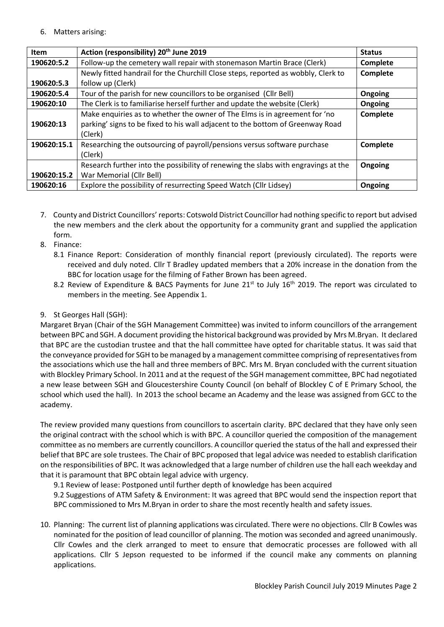## 6. Matters arising:

| <b>Item</b> | Action (responsibility) 20 <sup>th</sup> June 2019                                 | <b>Status</b>  |
|-------------|------------------------------------------------------------------------------------|----------------|
| 190620:5.2  | Follow-up the cemetery wall repair with stonemason Martin Brace (Clerk)            | Complete       |
|             | Newly fitted handrail for the Churchill Close steps, reported as wobbly, Clerk to  | Complete       |
| 190620:5.3  | follow up (Clerk)                                                                  |                |
| 190620:5.4  | Tour of the parish for new councillors to be organised (Cllr Bell)                 | Ongoing        |
| 190620:10   | The Clerk is to familiarise herself further and update the website (Clerk)         | <b>Ongoing</b> |
|             | Make enguiries as to whether the owner of The Elms is in agreement for 'no         | Complete       |
| 190620:13   | parking' signs to be fixed to his wall adjacent to the bottom of Greenway Road     |                |
|             | (Clerk)                                                                            |                |
| 190620:15.1 | Researching the outsourcing of payroll/pensions versus software purchase           | Complete       |
|             | (Clerk)                                                                            |                |
|             | Research further into the possibility of renewing the slabs with engravings at the | Ongoing        |
| 190620:15.2 | War Memorial (Cllr Bell)                                                           |                |
| 190620:16   | Explore the possibility of resurrecting Speed Watch (Cllr Lidsey)                  | Ongoing        |

- 7. County and District Councillors' reports: Cotswold District Councillor had nothing specific to report but advised the new members and the clerk about the opportunity for a community grant and supplied the application form.
- 8. Finance:
	- 8.1 Finance Report: Consideration of monthly financial report (previously circulated). The reports were received and duly noted. Cllr T Bradley updated members that a 20% increase in the donation from the BBC for location usage for the filming of Father Brown has been agreed.
	- 8.2 Review of Expenditure & BACS Payments for June 21<sup>st</sup> to July 16<sup>th</sup> 2019. The report was circulated to members in the meeting. See Appendix 1.

## 9. St Georges Hall (SGH):

Margaret Bryan (Chair of the SGH Management Committee) was invited to inform councillors of the arrangement between BPC and SGH. A document providing the historical background was provided by Mrs M.Bryan. It declared that BPC are the custodian trustee and that the hall committee have opted for charitable status. It was said that the conveyance provided for SGH to be managed by a management committee comprising of representatives from the associations which use the hall and three members of BPC. Mrs M. Bryan concluded with the current situation with Blockley Primary School. In 2011 and at the request of the SGH management committee, BPC had negotiated a new lease between SGH and Gloucestershire County Council (on behalf of Blockley C of E Primary School, the school which used the hall). In 2013 the school became an Academy and the lease was assigned from GCC to the academy.

The review provided many questions from councillors to ascertain clarity. BPC declared that they have only seen the original contract with the school which is with BPC. A councillor queried the composition of the management committee as no members are currently councillors. A councillor queried the status of the hall and expressed their belief that BPC are sole trustees. The Chair of BPC proposed that legal advice was needed to establish clarification on the responsibilities of BPC. It was acknowledged that a large number of children use the hall each weekday and that it is paramount that BPC obtain legal advice with urgency.

9.1 Review of lease: Postponed until further depth of knowledge has been acquired

9.2 Suggestions of ATM Safety & Environment: It was agreed that BPC would send the inspection report that BPC commissioned to Mrs M.Bryan in order to share the most recently health and safety issues.

10. Planning: The current list of planning applications was circulated. There were no objections. Cllr B Cowles was nominated for the position of lead councillor of planning. The motion was seconded and agreed unanimously. Cllr Cowles and the clerk arranged to meet to ensure that democratic processes are followed with all applications. Cllr S Jepson requested to be informed if the council make any comments on planning applications.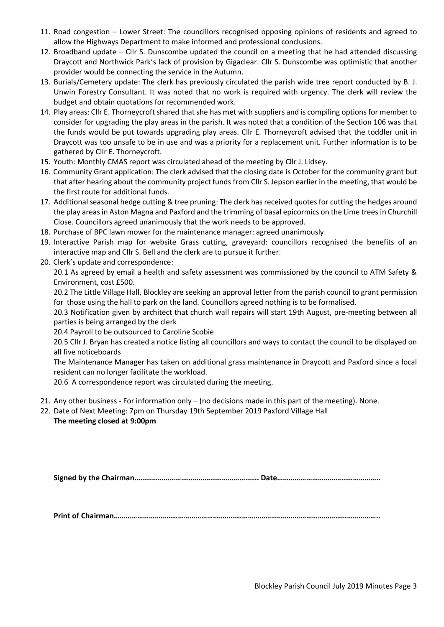- 11. Road congestion Lower Street: The councillors recognised opposing opinions of residents and agreed to allow the Highways Department to make informed and professional conclusions.
- 12. Broadband update Cllr S. Dunscombe updated the council on a meeting that he had attended discussing Draycott and Northwick Park's lack of provision by Gigaclear. Cllr S. Dunscombe was optimistic that another provider would be connecting the service in the Autumn.
- 13. Burials/Cemetery update: The clerk has previously circulated the parish wide tree report conducted by B. J. Unwin Forestry Consultant. It was noted that no work is required with urgency. The clerk will review the budget and obtain quotations for recommended work.
- 14. Play areas: Cllr E. Thorneycroft shared that she has met with suppliers and is compiling options for member to consider for upgrading the play areas in the parish. It was noted that a condition of the Section 106 was that the funds would be put towards upgrading play areas. Cllr E. Thorneycroft advised that the toddler unit in Draycott was too unsafe to be in use and was a priority for a replacement unit. Further information is to be gathered by Cllr E. Thorneycroft.
- 15. Youth: Monthly CMAS report was circulated ahead of the meeting by Cllr J. Lidsey.
- 16. Community Grant application: The clerk advised that the closing date is October for the community grant but that after hearing about the community project funds from Cllr S. Jepson earlier in the meeting, that would be the first route for additional funds.
- 17. Additional seasonal hedge cutting & tree pruning: The clerk has received quotes for cutting the hedges around the play areas in Aston Magna and Paxford and the trimming of basal epicormics on the Lime trees in Churchill Close. Councillors agreed unanimously that the work needs to be approved.
- 18. Purchase of BPC lawn mower for the maintenance manager: agreed unanimously.
- 19. Interactive Parish map for website Grass cutting, graveyard: councillors recognised the benefits of an interactive map and Cllr S. Bell and the clerk are to pursue it further.
- 20. Clerk's update and correspondence:

20.1 As agreed by email a health and safety assessment was commissioned by the council to ATM Safety & Environment, cost £500.

20.2 The Little Village Hall, Blockley are seeking an approval letter from the parish council to grant permission for those using the hall to park on the land. Councillors agreed nothing is to be formalised.

20.3 Notification given by architect that church wall repairs will start 19th August, pre-meeting between all parties is being arranged by the clerk

20.4 Payroll to be outsourced to Caroline Scobie

20.5 Cllr J. Bryan has created a notice listing all councillors and ways to contact the council to be displayed on all five noticeboards

The Maintenance Manager has taken on additional grass maintenance in Draycott and Paxford since a local resident can no longer facilitate the workload.

20.6 A correspondence report was circulated during the meeting.

- 21. Any other business For information only (no decisions made in this part of the meeting). None.
- 22. Date of Next Meeting: 7pm on Thursday 19th September 2019 Paxford Village Hall **The meeting closed at 9:00pm**

**Signed by the Chairman………………………………………………………. Date……………………………………………..**

**Print of Chairman………………………………………………………………………………………………………………………..**